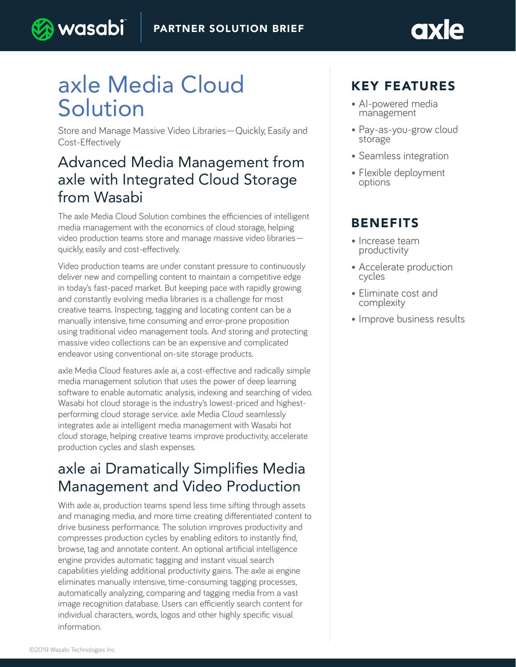# axle Media Cloud Solution

) wasabi

Store and Manage Massive Video Libraries—Quickly, Easily and Cost-Effectively

### Advanced Media Management from axle with Integrated Cloud Storage from Wasabi

The axle Media Cloud Solution combines the efficiencies of intelligent media management with the economics of cloud storage, helping video production teams store and manage massive video libraries quickly, easily and cost-effectively.

Video production teams are under constant pressure to continuously deliver new and compelling content to maintain a competitive edge in today's fast-paced market. But keeping pace with rapidly growing and constantly evolving media libraries is a challenge for most creative teams. Inspecting, tagging and locating content can be a manually intensive, time consuming and error-prone proposition using traditional video management tools. And storing and protecting massive video collections can be an expensive and complicated endeavor using conventional on-site storage products.

axle Media Cloud features axle ai, a cost-effective and radically simple media management solution that uses the power of deep learning software to enable automatic analysis, indexing and searching of video. Wasabi hot cloud storage is the industry's lowest-priced and highestperforming cloud storage service. axle Media Cloud seamlessly integrates axle ai intelligent media management with Wasabi hot cloud storage, helping creative teams improve productivity, accelerate production cycles and slash expenses.

## axle ai Dramatically Simplifies Media Management and Video Production

With axle ai, production teams spend less time sifting through assets and managing media, and more time creating differentiated content to drive business performance. The solution improves productivity and compresses production cycles by enabling editors to instantly find, browse, tag and annotate content. An optional artificial intelligence engine provides automatic tagging and instant visual search capabilities yielding additional productivity gains. The axle ai engine eliminates manually intensive, time-consuming tagging processes, automatically analyzing, comparing and tagging media from a vast image recognition database. Users can efficiently search content for individual characters, words, logos and other highly specific visual information.

### KEY FEATURES

- AI-powered media management
- Pay-as-you-grow cloud storage
- Seamless integration
- Flexible deployment options

#### BENEFITS

- Increase team productivity
- Accelerate production cycles
- Eliminate cost and complexity
- Improve business results